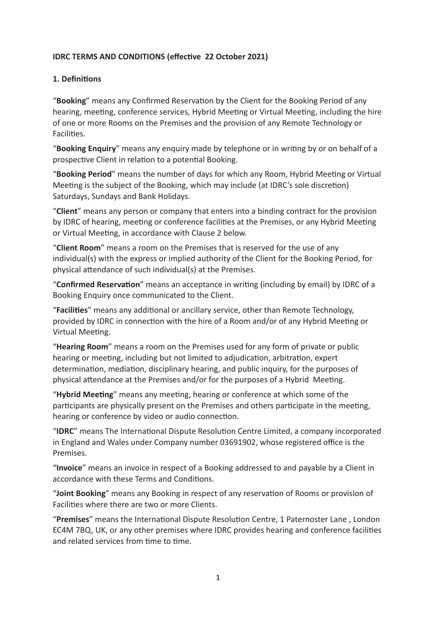#### **IDRC TERMS AND CONDITIONS (effective 22 October 2021)**

#### **1. Definitions**

"**Booking**" means any Confirmed Reservation by the Client for the Booking Period of any hearing, meeting, conference services, Hybrid Meeting or Virtual Meeting, including the hire of one or more Rooms on the Premises and the provision of any Remote Technology or Facilities.

"**Booking Enquiry**" means any enquiry made by telephone or in writing by or on behalf of a prospective Client in relation to a potential Booking.

"**Booking Period**" means the number of days for which any Room, Hybrid Meeting or Virtual Meeting is the subject of the Booking, which may include (at IDRC's sole discretion) Saturdays, Sundays and Bank Holidays.

"**Client**" means any person or company that enters into a binding contract for the provision by IDRC of hearing, meeting or conference facilities at the Premises, or any Hybrid Meeting or Virtual Meeting, in accordance with Clause 2 below.

"**Client Room**" means a room on the Premises that is reserved for the use of any individual(s) with the express or implied authority of the Client for the Booking Period, for physical attendance of such individual(s) at the Premises.

"**Confirmed Reservation**" means an acceptance in writing (including by email) by IDRC of a Booking Enquiry once communicated to the Client.

"**Facilities**" means any additional or ancillary service, other than Remote Technology, provided by IDRC in connection with the hire of a Room and/or of any Hybrid Meeting or Virtual Meeting.

"**Hearing Room**" means a room on the Premises used for any form of private or public hearing or meeting, including but not limited to adjudication, arbitration, expert determination, mediation, disciplinary hearing, and public inquiry, for the purposes of physical attendance at the Premises and/or for the purposes of a Hybrid Meeting.

"**Hybrid Meeting**" means any meeting, hearing or conference at which some of the participants are physically present on the Premises and others participate in the meeting, hearing or conference by video or audio connection.

"**IDRC**" means The International Dispute Resolution Centre Limited, a company incorporated in England and Wales under Company number 03691902, whose registered office is the Premises.

"**Invoice**" means an invoice in respect of a Booking addressed to and payable by a Client in accordance with these Terms and Conditions.

"**Joint Booking**" means any Booking in respect of any reservation of Rooms or provision of Facilities where there are two or more Clients.

"**Premises**" means the International Dispute Resolution Centre, 1 Paternoster Lane , London EC4M 7BQ, UK, or any other premises where IDRC provides hearing and conference facilities and related services from time to time.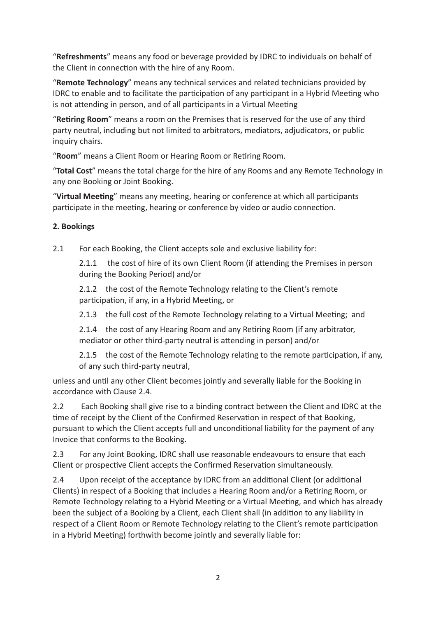"**Refreshments**" means any food or beverage provided by IDRC to individuals on behalf of the Client in connection with the hire of any Room.

"**Remote Technology**" means any technical services and related technicians provided by IDRC to enable and to facilitate the participation of any participant in a Hybrid Meeting who is not attending in person, and of all participants in a Virtual Meeting

"**Retiring Room**" means a room on the Premises that is reserved for the use of any third party neutral, including but not limited to arbitrators, mediators, adjudicators, or public inquiry chairs.

"**Room**" means a Client Room or Hearing Room or Retiring Room.

"**Total Cost**" means the total charge for the hire of any Rooms and any Remote Technology in any one Booking or Joint Booking.

"**Virtual Meeting**" means any meeting, hearing or conference at which all participants participate in the meeting, hearing or conference by video or audio connection.

### **2. Bookings**

2.1 For each Booking, the Client accepts sole and exclusive liability for:

2.1.1 the cost of hire of its own Client Room (if attending the Premises in person during the Booking Period) and/or

2.1.2 the cost of the Remote Technology relating to the Client's remote participation, if any, in a Hybrid Meeting, or

2.1.3 the full cost of the Remote Technology relating to a Virtual Meeting; and

2.1.4 the cost of any Hearing Room and any Retiring Room (if any arbitrator, mediator or other third-party neutral is attending in person) and/or

2.1.5 the cost of the Remote Technology relating to the remote participation, if any, of any such third-party neutral,

unless and until any other Client becomes jointly and severally liable for the Booking in accordance with Clause 2.4.

2.2 Each Booking shall give rise to a binding contract between the Client and IDRC at the time of receipt by the Client of the Confirmed Reservation in respect of that Booking, pursuant to which the Client accepts full and unconditional liability for the payment of any Invoice that conforms to the Booking.

2.3 For any Joint Booking, IDRC shall use reasonable endeavours to ensure that each Client or prospective Client accepts the Confirmed Reservation simultaneously.

2.4 Upon receipt of the acceptance by IDRC from an additional Client (or additional Clients) in respect of a Booking that includes a Hearing Room and/or a Retiring Room, or Remote Technology relating to a Hybrid Meeting or a Virtual Meeting, and which has already been the subject of a Booking by a Client, each Client shall (in addition to any liability in respect of a Client Room or Remote Technology relating to the Client's remote participation in a Hybrid Meeting) forthwith become jointly and severally liable for: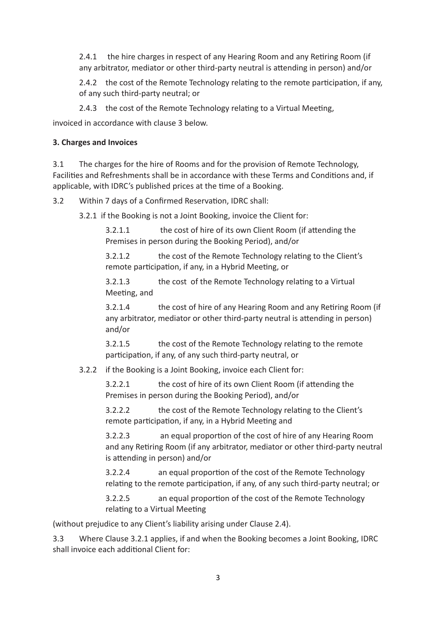2.4.1 the hire charges in respect of any Hearing Room and any Retiring Room (if any arbitrator, mediator or other third-party neutral is attending in person) and/or

2.4.2 the cost of the Remote Technology relating to the remote participation, if any, of any such third-party neutral; or

2.4.3 the cost of the Remote Technology relating to a Virtual Meeting,

invoiced in accordance with clause 3 below.

## **3. Charges and Invoices**

3.1 The charges for the hire of Rooms and for the provision of Remote Technology, Facilities and Refreshments shall be in accordance with these Terms and Conditions and, if applicable, with IDRC's published prices at the time of a Booking.

3.2 Within 7 days of a Confirmed Reservation, IDRC shall:

3.2.1 if the Booking is not a Joint Booking, invoice the Client for:

3.2.1.1 the cost of hire of its own Client Room (if attending the Premises in person during the Booking Period), and/or

3.2.1.2 the cost of the Remote Technology relating to the Client's remote participation, if any, in a Hybrid Meeting, or

3.2.1.3 the cost of the Remote Technology relating to a Virtual Meeting, and

3.2.1.4 the cost of hire of any Hearing Room and any Retiring Room (if any arbitrator, mediator or other third-party neutral is attending in person) and/or

3.2.1.5 the cost of the Remote Technology relating to the remote participation, if any, of any such third-party neutral, or

# 3.2.2 if the Booking is a Joint Booking, invoice each Client for:

3.2.2.1 the cost of hire of its own Client Room (if attending the Premises in person during the Booking Period), and/or

3.2.2.2 the cost of the Remote Technology relating to the Client's remote participation, if any, in a Hybrid Meeting and

3.2.2.3 an equal proportion of the cost of hire of any Hearing Room and any Retiring Room (if any arbitrator, mediator or other third-party neutral is attending in person) and/or

3.2.2.4 an equal proportion of the cost of the Remote Technology relating to the remote participation, if any, of any such third-party neutral; or

3.2.2.5 an equal proportion of the cost of the Remote Technology relating to a Virtual Meeting

(without prejudice to any Client's liability arising under Clause 2.4).

3.3 Where Clause 3.2.1 applies, if and when the Booking becomes a Joint Booking, IDRC shall invoice each additional Client for: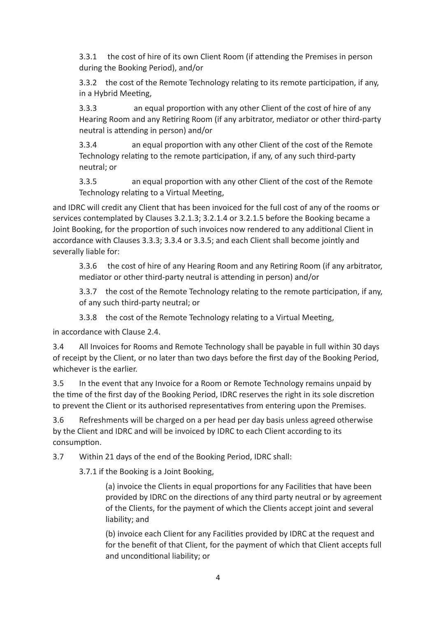3.3.1 the cost of hire of its own Client Room (if attending the Premises in person during the Booking Period), and/or

3.3.2 the cost of the Remote Technology relating to its remote participation, if any, in a Hybrid Meeting,

3.3.3 an equal proportion with any other Client of the cost of hire of any Hearing Room and any Retiring Room (if any arbitrator, mediator or other third-party neutral is attending in person) and/or

3.3.4 an equal proportion with any other Client of the cost of the Remote Technology relating to the remote participation, if any, of any such third-party neutral; or

3.3.5 an equal proportion with any other Client of the cost of the Remote Technology relating to a Virtual Meeting,

and IDRC will credit any Client that has been invoiced for the full cost of any of the rooms or services contemplated by Clauses 3.2.1.3; 3.2.1.4 or 3.2.1.5 before the Booking became a Joint Booking, for the proportion of such invoices now rendered to any additional Client in accordance with Clauses 3.3.3; 3.3.4 or 3.3.5; and each Client shall become jointly and severally liable for:

3.3.6 the cost of hire of any Hearing Room and any Retiring Room (if any arbitrator, mediator or other third-party neutral is attending in person) and/or

3.3.7 the cost of the Remote Technology relating to the remote participation, if any, of any such third-party neutral; or

3.3.8 the cost of the Remote Technology relating to a Virtual Meeting,

in accordance with Clause 2.4.

3.4 All Invoices for Rooms and Remote Technology shall be payable in full within 30 days of receipt by the Client, or no later than two days before the first day of the Booking Period, whichever is the earlier.

3.5 In the event that any Invoice for a Room or Remote Technology remains unpaid by the time of the first day of the Booking Period, IDRC reserves the right in its sole discretion to prevent the Client or its authorised representatives from entering upon the Premises.

3.6 Refreshments will be charged on a per head per day basis unless agreed otherwise by the Client and IDRC and will be invoiced by IDRC to each Client according to its consumption.

3.7 Within 21 days of the end of the Booking Period, IDRC shall:

3.7.1 if the Booking is a Joint Booking,

(a) invoice the Clients in equal proportions for any Facilities that have been provided by IDRC on the directions of any third party neutral or by agreement of the Clients, for the payment of which the Clients accept joint and several liability; and

(b) invoice each Client for any Facilities provided by IDRC at the request and for the benefit of that Client, for the payment of which that Client accepts full and unconditional liability; or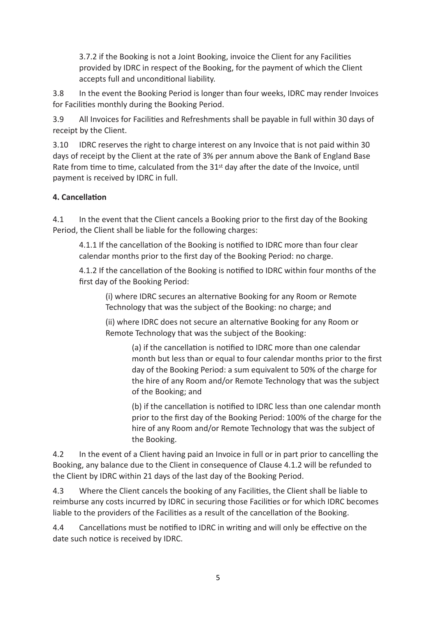3.7.2 if the Booking is not a Joint Booking, invoice the Client for any Facilities provided by IDRC in respect of the Booking, for the payment of which the Client accepts full and unconditional liability.

3.8 In the event the Booking Period is longer than four weeks, IDRC may render Invoices for Facilities monthly during the Booking Period.

3.9 All Invoices for Facilities and Refreshments shall be payable in full within 30 days of receipt by the Client.

3.10 IDRC reserves the right to charge interest on any Invoice that is not paid within 30 days of receipt by the Client at the rate of 3% per annum above the Bank of England Base Rate from time to time, calculated from the 31<sup>st</sup> day after the date of the Invoice, until payment is received by IDRC in full.

### **4. Cancellation**

4.1 In the event that the Client cancels a Booking prior to the first day of the Booking Period, the Client shall be liable for the following charges:

4.1.1 If the cancellation of the Booking is notified to IDRC more than four clear calendar months prior to the first day of the Booking Period: no charge.

4.1.2 If the cancellation of the Booking is notified to IDRC within four months of the first day of the Booking Period:

(i) where IDRC secures an alternative Booking for any Room or Remote Technology that was the subject of the Booking: no charge; and

(ii) where IDRC does not secure an alternative Booking for any Room or Remote Technology that was the subject of the Booking:

> (a) if the cancellation is notified to IDRC more than one calendar month but less than or equal to four calendar months prior to the first day of the Booking Period: a sum equivalent to 50% of the charge for the hire of any Room and/or Remote Technology that was the subject of the Booking; and

> (b) if the cancellation is notified to IDRC less than one calendar month prior to the first day of the Booking Period: 100% of the charge for the hire of any Room and/or Remote Technology that was the subject of the Booking.

4.2 In the event of a Client having paid an Invoice in full or in part prior to cancelling the Booking, any balance due to the Client in consequence of Clause 4.1.2 will be refunded to the Client by IDRC within 21 days of the last day of the Booking Period.

4.3 Where the Client cancels the booking of any Facilities, the Client shall be liable to reimburse any costs incurred by IDRC in securing those Facilities or for which IDRC becomes liable to the providers of the Facilities as a result of the cancellation of the Booking.

4.4 Cancellations must be notified to IDRC in writing and will only be effective on the date such notice is received by IDRC.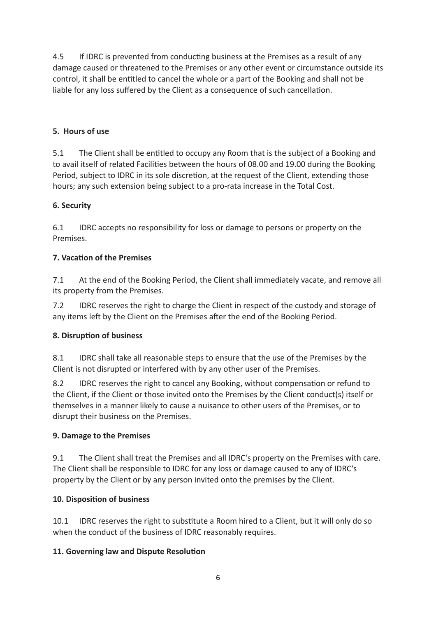4.5 If IDRC is prevented from conducting business at the Premises as a result of any damage caused or threatened to the Premises or any other event or circumstance outside its control, it shall be entitled to cancel the whole or a part of the Booking and shall not be liable for any loss suffered by the Client as a consequence of such cancellation.

## **5. Hours of use**

5.1 The Client shall be entitled to occupy any Room that is the subject of a Booking and to avail itself of related Facilities between the hours of 08.00 and 19.00 during the Booking Period, subject to IDRC in its sole discretion, at the request of the Client, extending those hours; any such extension being subject to a pro-rata increase in the Total Cost.

## **6. Security**

6.1 IDRC accepts no responsibility for loss or damage to persons or property on the Premises.

## **7. Vacation of the Premises**

7.1 At the end of the Booking Period, the Client shall immediately vacate, and remove all its property from the Premises.

7.2 IDRC reserves the right to charge the Client in respect of the custody and storage of any items left by the Client on the Premises after the end of the Booking Period.

# **8. Disruption of business**

8.1 IDRC shall take all reasonable steps to ensure that the use of the Premises by the Client is not disrupted or interfered with by any other user of the Premises.

8.2 IDRC reserves the right to cancel any Booking, without compensation or refund to the Client, if the Client or those invited onto the Premises by the Client conduct(s) itself or themselves in a manner likely to cause a nuisance to other users of the Premises, or to disrupt their business on the Premises.

### **9. Damage to the Premises**

9.1 The Client shall treat the Premises and all IDRC's property on the Premises with care. The Client shall be responsible to IDRC for any loss or damage caused to any of IDRC's property by the Client or by any person invited onto the premises by the Client.

### **10. Disposition of business**

10.1 IDRC reserves the right to substitute a Room hired to a Client, but it will only do so when the conduct of the business of IDRC reasonably requires.

# **11. Governing law and Dispute Resolution**